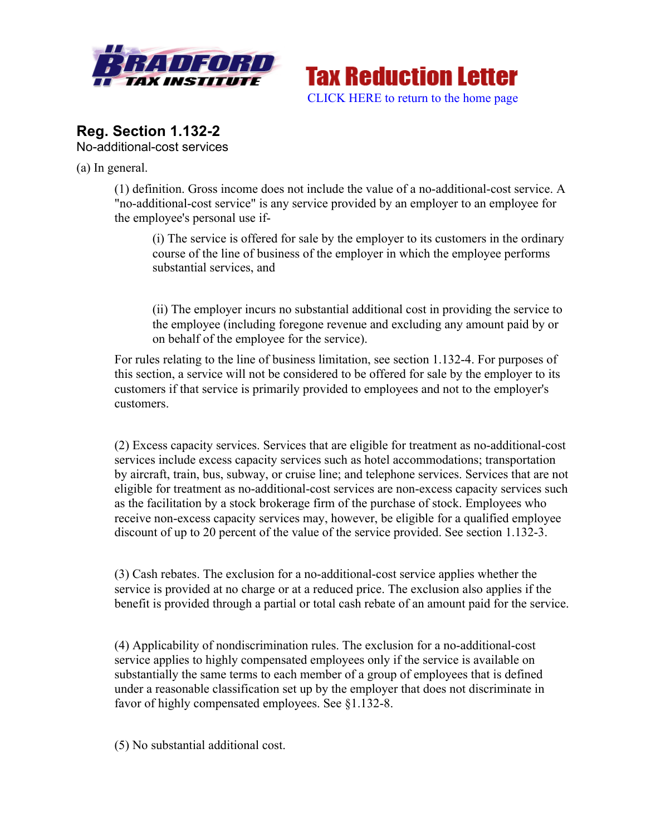



## **Reg. Section 1.132-2** No-additional-cost services

(a) In general.

(1) definition. Gross income does not include the value of a no-additional-cost service. A "no-additional-cost service" is any service provided by an employer to an employee for the employee's personal use if-

(i) The service is offered for sale by the employer to its customers in the ordinary course of the line of business of the employer in which the employee performs substantial services, and

(ii) The employer incurs no substantial additional cost in providing the service to the employee (including foregone revenue and excluding any amount paid by or on behalf of the employee for the service).

For rules relating to the line of business limitation, see section 1.132-4. For purposes of this section, a service will not be considered to be offered for sale by the employer to its customers if that service is primarily provided to employees and not to the employer's customers.

(2) Excess capacity services. Services that are eligible for treatment as no-additional-cost services include excess capacity services such as hotel accommodations; transportation by aircraft, train, bus, subway, or cruise line; and telephone services. Services that are not eligible for treatment as no-additional-cost services are non-excess capacity services such as the facilitation by a stock brokerage firm of the purchase of stock. Employees who receive non-excess capacity services may, however, be eligible for a qualified employee discount of up to 20 percent of the value of the service provided. See section 1.132-3.

(3) Cash rebates. The exclusion for a no-additional-cost service applies whether the service is provided at no charge or at a reduced price. The exclusion also applies if the benefit is provided through a partial or total cash rebate of an amount paid for the service.

(4) Applicability of nondiscrimination rules. The exclusion for a no-additional-cost service applies to highly compensated employees only if the service is available on substantially the same terms to each member of a group of employees that is defined under a reasonable classification set up by the employer that does not discriminate in favor of highly compensated employees. See §1.132-8.

(5) No substantial additional cost.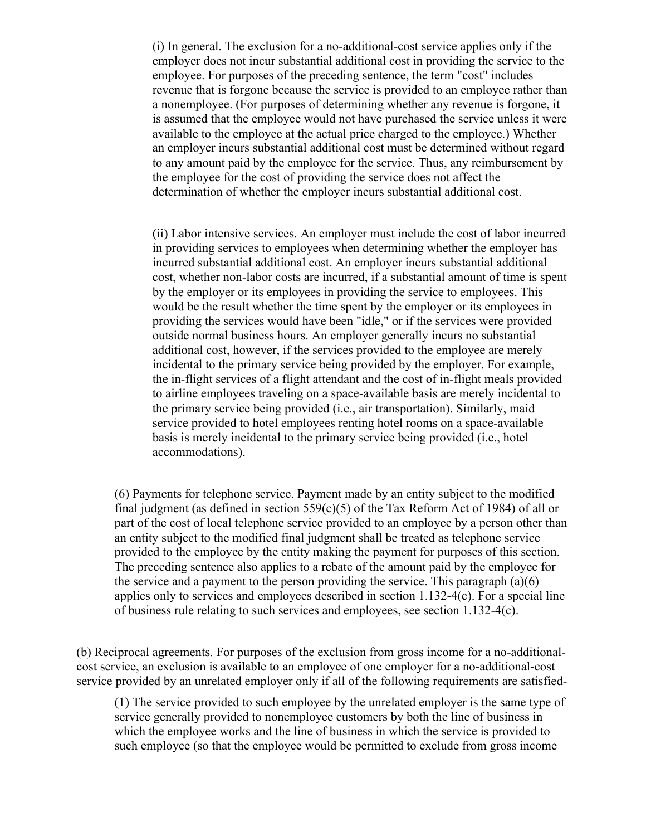(i) In general. The exclusion for a no-additional-cost service applies only if the employer does not incur substantial additional cost in providing the service to the employee. For purposes of the preceding sentence, the term "cost" includes revenue that is forgone because the service is provided to an employee rather than a nonemployee. (For purposes of determining whether any revenue is forgone, it is assumed that the employee would not have purchased the service unless it were available to the employee at the actual price charged to the employee.) Whether an employer incurs substantial additional cost must be determined without regard to any amount paid by the employee for the service. Thus, any reimbursement by the employee for the cost of providing the service does not affect the determination of whether the employer incurs substantial additional cost.

(ii) Labor intensive services. An employer must include the cost of labor incurred in providing services to employees when determining whether the employer has incurred substantial additional cost. An employer incurs substantial additional cost, whether non-labor costs are incurred, if a substantial amount of time is spent by the employer or its employees in providing the service to employees. This would be the result whether the time spent by the employer or its employees in providing the services would have been "idle," or if the services were provided outside normal business hours. An employer generally incurs no substantial additional cost, however, if the services provided to the employee are merely incidental to the primary service being provided by the employer. For example, the in-flight services of a flight attendant and the cost of in-flight meals provided to airline employees traveling on a space-available basis are merely incidental to the primary service being provided (i.e., air transportation). Similarly, maid service provided to hotel employees renting hotel rooms on a space-available basis is merely incidental to the primary service being provided (i.e., hotel accommodations).

(6) Payments for telephone service. Payment made by an entity subject to the modified final judgment (as defined in section  $559(c)(5)$  of the Tax Reform Act of 1984) of all or part of the cost of local telephone service provided to an employee by a person other than an entity subject to the modified final judgment shall be treated as telephone service provided to the employee by the entity making the payment for purposes of this section. The preceding sentence also applies to a rebate of the amount paid by the employee for the service and a payment to the person providing the service. This paragraph (a)(6) applies only to services and employees described in section 1.132-4(c). For a special line of business rule relating to such services and employees, see section 1.132-4(c).

(b) Reciprocal agreements. For purposes of the exclusion from gross income for a no-additionalcost service, an exclusion is available to an employee of one employer for a no-additional-cost service provided by an unrelated employer only if all of the following requirements are satisfied-

(1) The service provided to such employee by the unrelated employer is the same type of service generally provided to nonemployee customers by both the line of business in which the employee works and the line of business in which the service is provided to such employee (so that the employee would be permitted to exclude from gross income